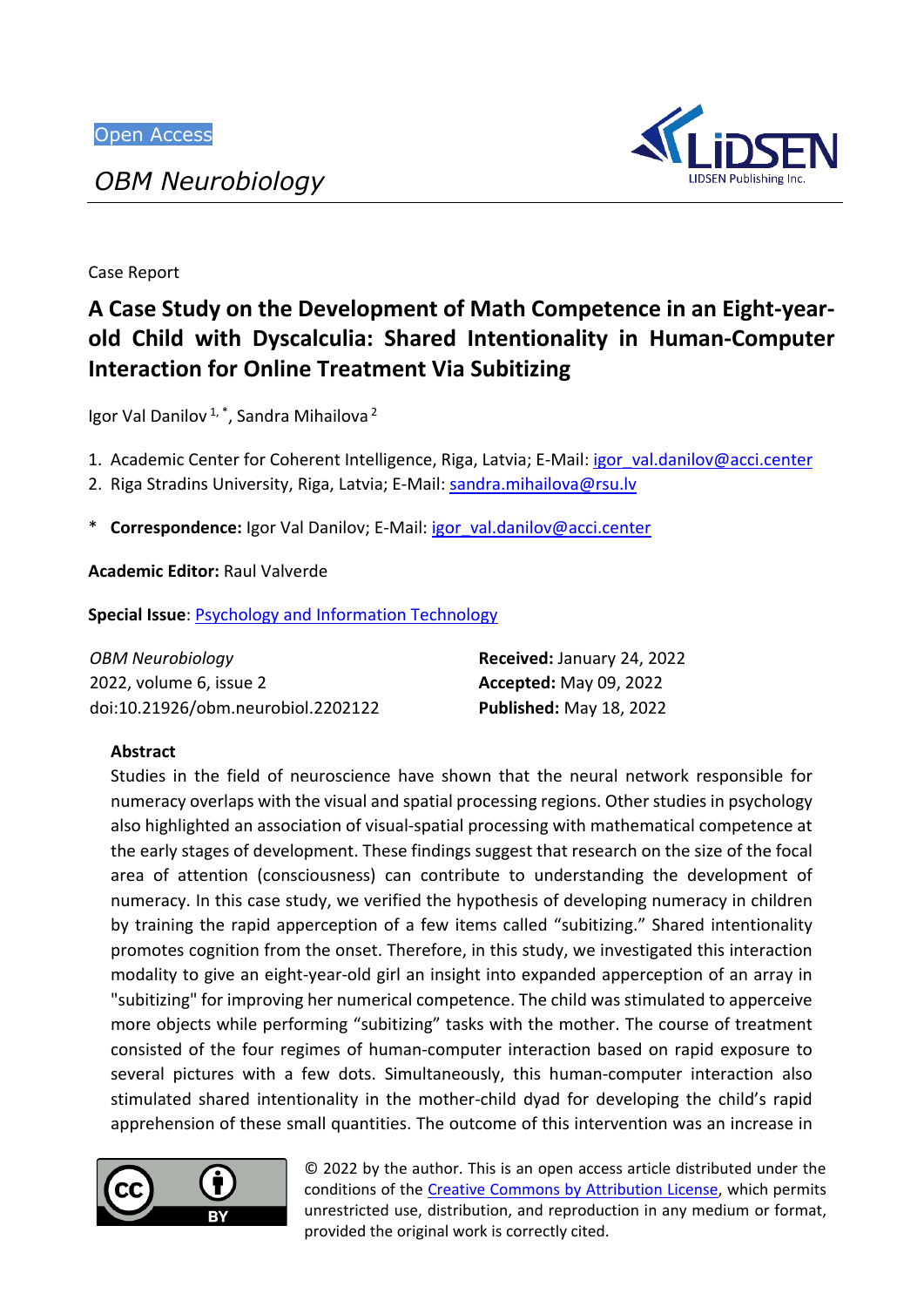# *OBM Neurobiology*



Case Report

# **A Case Study on the Development of Math Competence in an Eight-yearold Child with Dyscalculia: Shared Intentionality in Human-Computer Interaction for Online Treatment Via Subitizing**

Igor Val Danilov<sup>1,\*</sup>, Sandra Mihailova<sup>2</sup>

1. Academic Center for Coherent Intelligence, Riga, Latvia; E-Mail: igor val.danilov@acci.center

2. Riga Stradins University, Riga, Latvia; E-Mail: [sandra.mihailova@rsu.lv](mailto:sandra.mihailova@rsu.lv)

\* **Correspondence:** Igor Val Danilov; E-Mail: [igor\\_val.danilov@acci.center](mailto:igor_val.danilov@acci.center)

**Academic Editor:** Raul Valverde

**Special Issue**: Psychology and [Information](https://www.lidsen.com/journals/neurobiology/neurobiology-special-issues/psychology-information-technology) Technology

| OBM Neurobiology                   | Received: January 24, 2022     |
|------------------------------------|--------------------------------|
| 2022, volume 6, issue 2            | <b>Accepted: May 09, 2022</b>  |
| doi:10.21926/obm.neurobiol.2202122 | <b>Published: May 18, 2022</b> |

# **Abstract**

Studies in the field of neuroscience have shown that the neural network responsible for numeracy overlaps with the visual and spatial processing regions. Other studies in psychology also highlighted an association of visual-spatial processing with mathematical competence at the early stages of development. These findings suggest that research on the size of the focal area of attention (consciousness) can contribute to understanding the development of numeracy. In this case study, we verified the hypothesis of developing numeracy in children by training the rapid apperception of a few items called "subitizing." Shared intentionality promotes cognition from the onset. Therefore, in this study, we investigated this interaction modality to give an eight-year-old girl an insight into expanded apperception of an array in "subitizing" for improving her numerical competence. The child was stimulated to apperceive more objects while performing "subitizing" tasks with the mother. The course of treatment consisted of the four regimes of human-computer interaction based on rapid exposure to several pictures with a few dots. Simultaneously, this human-computer interaction also stimulated shared intentionality in the mother-child dyad for developing the child's rapid apprehension of these small quantities. The outcome of this intervention was an increase in



© 2022 by the author. This is an open access article distributed under the conditions of the [Creative Commons by Attribution License,](http://creativecommons.org/licenses/by/4.0/) which permits unrestricted use, distribution, and reproduction in any medium or format, provided the original work is correctly cited.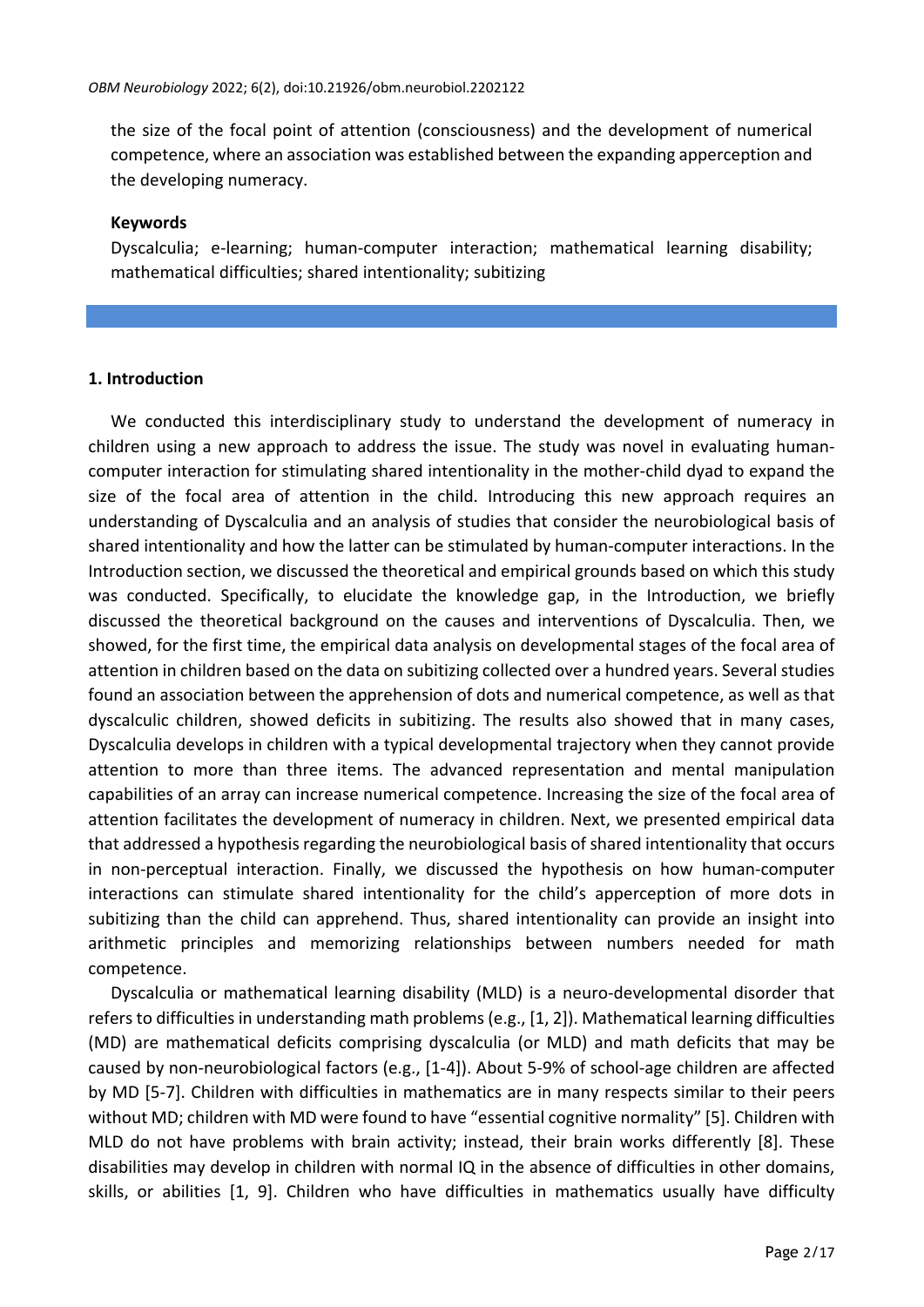the size of the focal point of attention (consciousness) and the development of numerical competence, where an association was established between the expanding apperception and the developing numeracy.

#### **Keywords**

Dyscalculia; e-learning; human-computer interaction; mathematical learning disability; mathematical difficulties; shared intentionality; subitizing

## **1. Introduction**

We conducted this interdisciplinary study to understand the development of numeracy in children using a new approach to address the issue. The study was novel in evaluating humancomputer interaction for stimulating shared intentionality in the mother-child dyad to expand the size of the focal area of attention in the child. Introducing this new approach requires an understanding of Dyscalculia and an analysis of studies that consider the neurobiological basis of shared intentionality and how the latter can be stimulated by human-computer interactions. In the Introduction section, we discussed the theoretical and empirical grounds based on which this study was conducted. Specifically, to elucidate the knowledge gap, in the Introduction, we briefly discussed the theoretical background on the causes and interventions of Dyscalculia. Then, we showed, for the first time, the empirical data analysis on developmental stages of the focal area of attention in children based on the data on subitizing collected over a hundred years. Several studies found an association between the apprehension of dots and numerical competence, as well as that dyscalculic children, showed deficits in subitizing. The results also showed that in many cases, Dyscalculia develops in children with a typical developmental trajectory when they cannot provide attention to more than three items. The advanced representation and mental manipulation capabilities of an array can increase numerical competence. Increasing the size of the focal area of attention facilitates the development of numeracy in children. Next, we presented empirical data that addressed a hypothesis regarding the neurobiological basis of shared intentionality that occurs in non-perceptual interaction. Finally, we discussed the hypothesis on how human-computer interactions can stimulate shared intentionality for the child's apperception of more dots in subitizing than the child can apprehend. Thus, shared intentionality can provide an insight into arithmetic principles and memorizing relationships between numbers needed for math competence.

Dyscalculia or mathematical learning disability (MLD) is a neuro-developmental disorder that refers to difficulties in understanding math problems (e.g., [1, 2]). Mathematical learning difficulties (MD) are mathematical deficits comprising dyscalculia (or MLD) and math deficits that may be caused by non-neurobiological factors (e.g., [1-4]). About 5-9% of school-age children are affected by MD [5-7]. Children with difficulties in mathematics are in many respects similar to their peers without MD; children with MD were found to have "essential cognitive normality" [5]. Children with MLD do not have problems with brain activity; instead, their brain works differently [8]. These disabilities may develop in children with normal IQ in the absence of difficulties in other domains, skills, or abilities [1, 9]. Children who have difficulties in mathematics usually have difficulty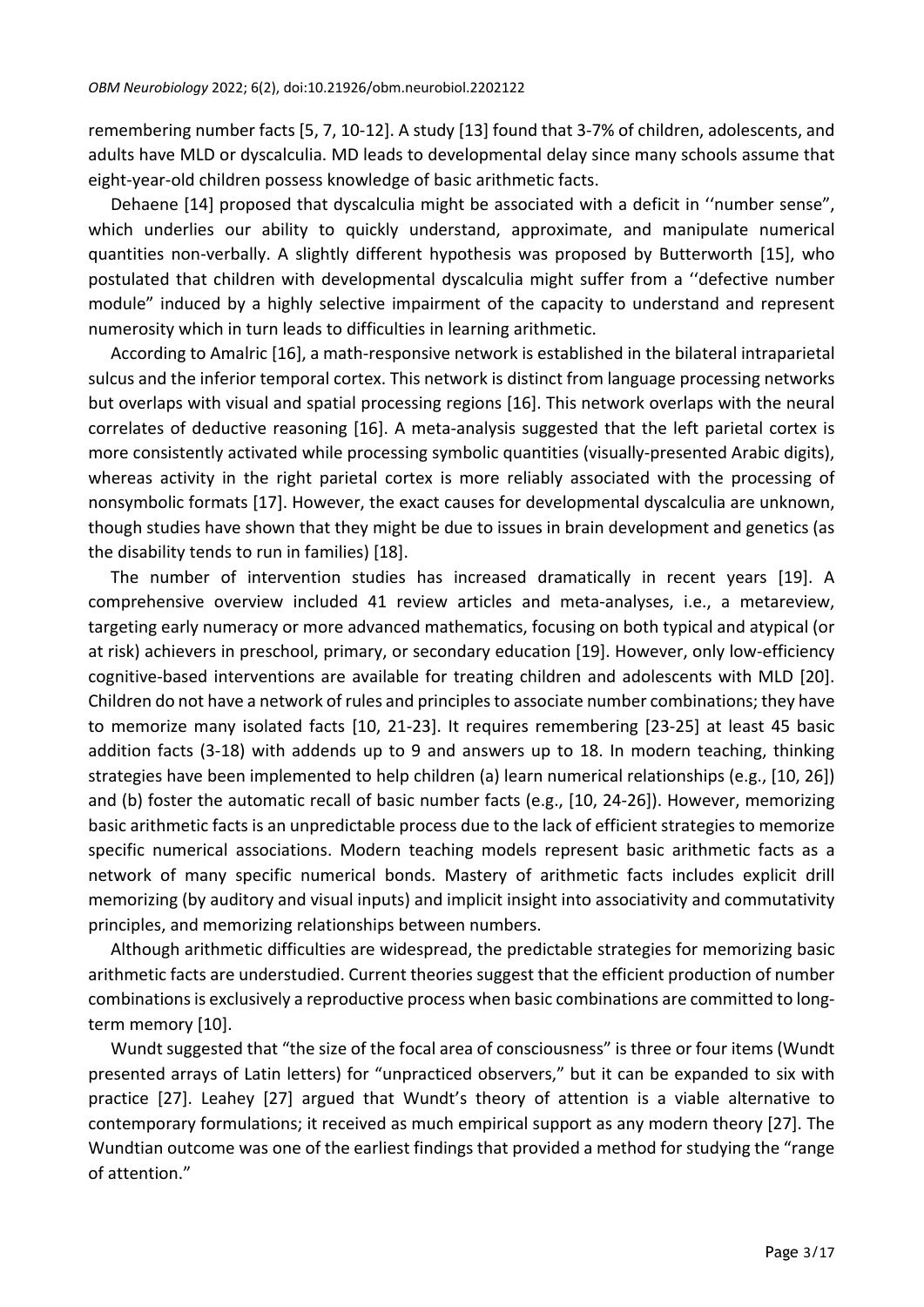remembering number facts [5, 7, 10-12]. A study [13] found that 3-7% of children, adolescents, and adults have MLD or dyscalculia. MD leads to developmental delay since many schools assume that eight-year-old children possess knowledge of basic arithmetic facts.

Dehaene [14] proposed that dyscalculia might be associated with a deficit in "number sense", which underlies our ability to quickly understand, approximate, and manipulate numerical quantities non-verbally. A slightly different hypothesis was proposed by Butterworth [15], who postulated that children with developmental dyscalculia might suffer from a ''defective number module" induced by a highly selective impairment of the capacity to understand and represent numerosity which in turn leads to difficulties in learning arithmetic.

According to Amalric [16], a math-responsive network is established in the bilateral intraparietal sulcus and the inferior temporal cortex. This network is distinct from language processing networks but overlaps with visual and spatial processing regions [16]. This network overlaps with the neural correlates of deductive reasoning [16]. A meta-analysis suggested that the left parietal cortex is more consistently activated while processing symbolic quantities (visually-presented Arabic digits), whereas activity in the right parietal cortex is more reliably associated with the processing of nonsymbolic formats [17]. However, the exact causes for developmental dyscalculia are unknown, though studies have shown that they might be due to issues in brain development and genetics (as the disability tends to run in families) [18].

The number of intervention studies has increased dramatically in recent years [19]. A comprehensive overview included 41 review articles and meta-analyses, i.e., a metareview, targeting early numeracy or more advanced mathematics, focusing on both typical and atypical (or at risk) achievers in preschool, primary, or secondary education [19]. However, only low-efficiency cognitive-based interventions are available for treating children and adolescents with MLD [20]. Children do not have a network of rules and principlesto associate number combinations; they have to memorize many isolated facts [10, 21-23]. It requires remembering [23-25] at least 45 basic addition facts (3-18) with addends up to 9 and answers up to 18. In modern teaching, thinking strategies have been implemented to help children (a) learn numerical relationships (e.g., [10, 26]) and (b) foster the automatic recall of basic number facts (e.g., [10, 24-26]). However, memorizing basic arithmetic facts is an unpredictable process due to the lack of efficient strategies to memorize specific numerical associations. Modern teaching models represent basic arithmetic facts as a network of many specific numerical bonds. Mastery of arithmetic facts includes explicit drill memorizing (by auditory and visual inputs) and implicit insight into associativity and commutativity principles, and memorizing relationships between numbers.

Although arithmetic difficulties are widespread, the predictable strategies for memorizing basic arithmetic facts are understudied. Current theories suggest that the efficient production of number combinations is exclusively a reproductive process when basic combinations are committed to longterm memory [10].

Wundt suggested that "the size of the focal area of consciousness" is three or four items (Wundt presented arrays of Latin letters) for "unpracticed observers," but it can be expanded to six with practice [27]. Leahey [27] argued that Wundt's theory of attention is a viable alternative to contemporary formulations; it received as much empirical support as any modern theory [27]. The Wundtian outcome was one of the earliest findings that provided a method for studying the "range of attention."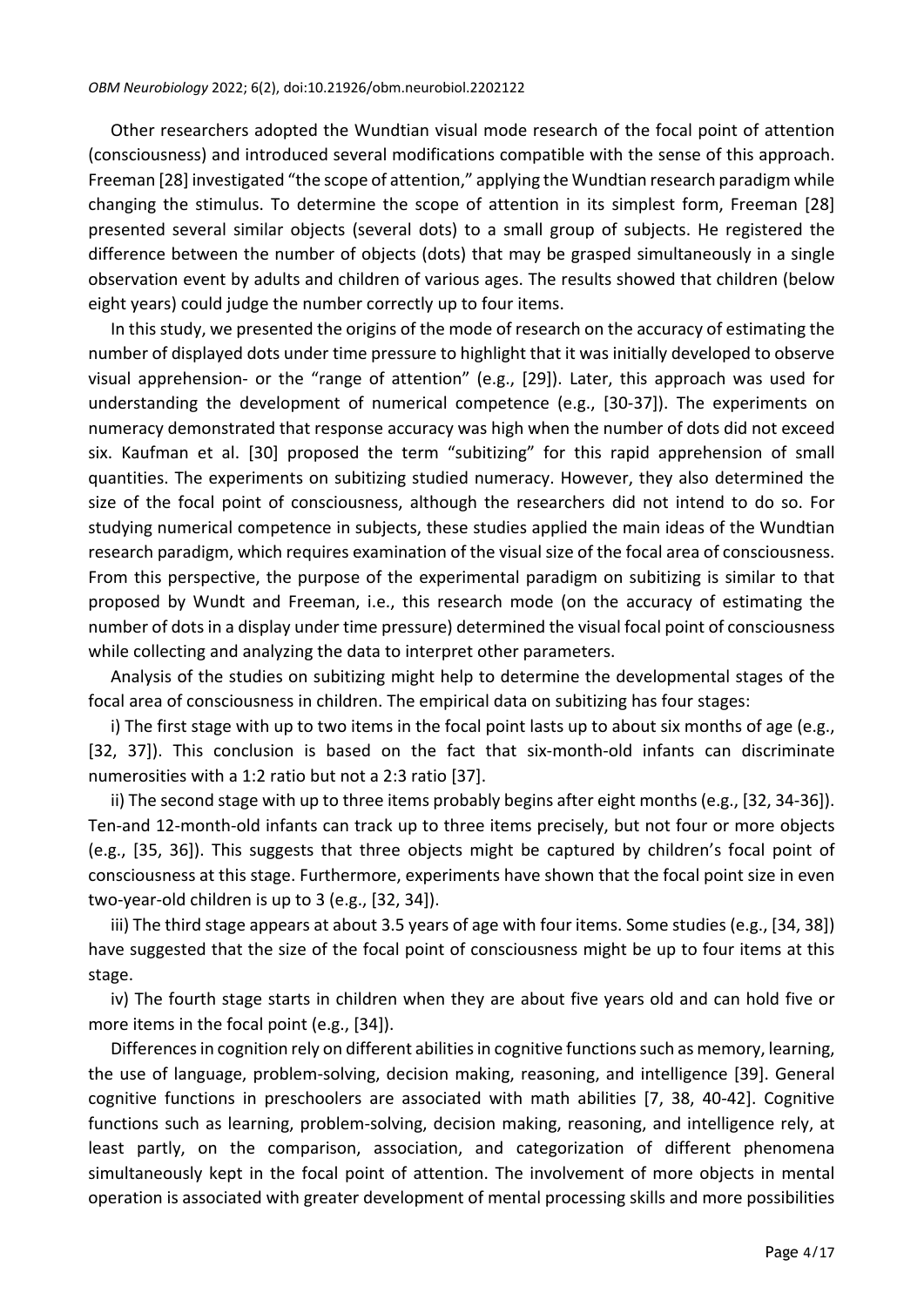Other researchers adopted the Wundtian visual mode research of the focal point of attention (consciousness) and introduced several modifications compatible with the sense of this approach. Freeman [28] investigated "the scope of attention," applying the Wundtian research paradigm while changing the stimulus. To determine the scope of attention in its simplest form, Freeman [28] presented several similar objects (several dots) to a small group of subjects. He registered the difference between the number of objects (dots) that may be grasped simultaneously in a single observation event by adults and children of various ages. The results showed that children (below eight years) could judge the number correctly up to four items.

In this study, we presented the origins of the mode of research on the accuracy of estimating the number of displayed dots under time pressure to highlight that it was initially developed to observe visual apprehension- or the "range of attention" (e.g., [29]). Later, this approach was used for understanding the development of numerical competence (e.g., [30-37]). The experiments on numeracy demonstrated that response accuracy was high when the number of dots did not exceed six. Kaufman et al. [30] proposed the term "subitizing" for this rapid apprehension of small quantities. The experiments on subitizing studied numeracy. However, they also determined the size of the focal point of consciousness, although the researchers did not intend to do so. For studying numerical competence in subjects, these studies applied the main ideas of the Wundtian research paradigm, which requires examination of the visual size of the focal area of consciousness. From this perspective, the purpose of the experimental paradigm on subitizing is similar to that proposed by Wundt and Freeman, i.e., this research mode (on the accuracy of estimating the number of dotsin a display under time pressure) determined the visual focal point of consciousness while collecting and analyzing the data to interpret other parameters.

Analysis of the studies on subitizing might help to determine the developmental stages of the focal area of consciousness in children. The empirical data on subitizing has four stages:

i) The first stage with up to two items in the focal point lasts up to about six months of age (e.g., [32, 37]). This conclusion is based on the fact that six-month-old infants can discriminate numerosities with a 1:2 ratio but not a 2:3 ratio [37].

ii) The second stage with up to three items probably begins after eight months (e.g., [32, 34-36]). Ten-and 12-month-old infants can track up to three items precisely, but not four or more objects (e.g., [35, 36]). This suggests that three objects might be captured by children's focal point of consciousness at this stage. Furthermore, experiments have shown that the focal point size in even two-year-old children is up to 3 (e.g., [32, 34]).

iii) The third stage appears at about 3.5 years of age with four items. Some studies (e.g., [34, 38]) have suggested that the size of the focal point of consciousness might be up to four items at this stage.

iv) The fourth stage starts in children when they are about five years old and can hold five or more items in the focal point (e.g., [34]).

Differences in cognition rely on different abilities in cognitive functions such as memory, learning, the use of language, problem-solving, decision making, reasoning, and intelligence [39]. General cognitive functions in preschoolers are associated with math abilities [7, 38, 40-42]. Cognitive functions such as learning, problem-solving, decision making, reasoning, and intelligence rely, at least partly, on the comparison, association, and categorization of different phenomena simultaneously kept in the focal point of attention. The involvement of more objects in mental operation is associated with greater development of mental processing skills and more possibilities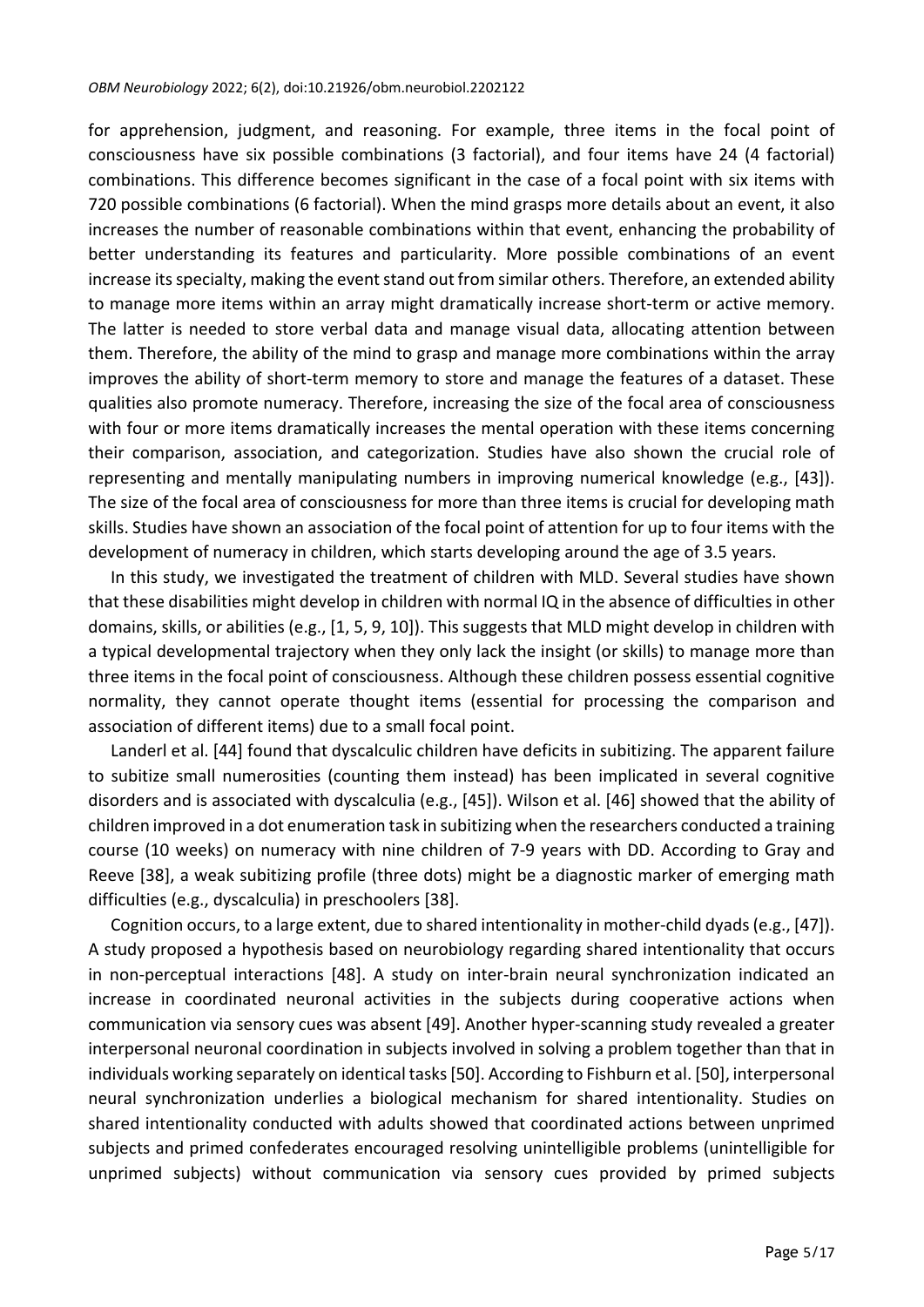#### *OBM Neurobiology* 2022; 6(2), doi:10.21926/obm.neurobiol.2202122

for apprehension, judgment, and reasoning. For example, three items in the focal point of consciousness have six possible combinations (3 factorial), and four items have 24 (4 factorial) combinations. This difference becomes significant in the case of a focal point with six items with 720 possible combinations (6 factorial). When the mind grasps more details about an event, it also increases the number of reasonable combinations within that event, enhancing the probability of better understanding its features and particularity. More possible combinations of an event increase its specialty, making the event stand out from similar others. Therefore, an extended ability to manage more items within an array might dramatically increase short-term or active memory. The latter is needed to store verbal data and manage visual data, allocating attention between them. Therefore, the ability of the mind to grasp and manage more combinations within the array improves the ability of short-term memory to store and manage the features of a dataset. These qualities also promote numeracy. Therefore, increasing the size of the focal area of consciousness with four or more items dramatically increases the mental operation with these items concerning their comparison, association, and categorization. Studies have also shown the crucial role of representing and mentally manipulating numbers in improving numerical knowledge (e.g., [43]). The size of the focal area of consciousness for more than three items is crucial for developing math skills. Studies have shown an association of the focal point of attention for up to four items with the development of numeracy in children, which starts developing around the age of 3.5 years.

In this study, we investigated the treatment of children with MLD. Several studies have shown that these disabilities might develop in children with normal IQ in the absence of difficulties in other domains, skills, or abilities (e.g., [1, 5, 9, 10]). This suggests that MLD might develop in children with a typical developmental trajectory when they only lack the insight (or skills) to manage more than three items in the focal point of consciousness. Although these children possess essential cognitive normality, they cannot operate thought items (essential for processing the comparison and association of different items) due to a small focal point.

Landerl et al. [44] found that dyscalculic children have deficits in subitizing. The apparent failure to subitize small numerosities (counting them instead) has been implicated in several cognitive disorders and is associated with dyscalculia (e.g., [45]). Wilson et al. [46] showed that the ability of children improved in a dot enumeration task in subitizing when the researchers conducted a training course (10 weeks) on numeracy with nine children of 7-9 years with DD. According to Gray and Reeve [38], a weak subitizing profile (three dots) might be a diagnostic marker of emerging math difficulties (e.g., dyscalculia) in preschoolers [38].

Cognition occurs, to a large extent, due to shared intentionality in mother-child dyads(e.g., [47]). A study proposed a hypothesis based on neurobiology regarding shared intentionality that occurs in non-perceptual interactions [48]. A study on inter-brain neural synchronization indicated an increase in coordinated neuronal activities in the subjects during cooperative actions when communication via sensory cues was absent [49]. Another hyper-scanning study revealed a greater interpersonal neuronal coordination in subjects involved in solving a problem together than that in individuals working separately on identical tasks[50]. According to Fishburn et al. [50], interpersonal neural synchronization underlies a biological mechanism for shared intentionality. Studies on shared intentionality conducted with adults showed that coordinated actions between unprimed subjects and primed confederates encouraged resolving unintelligible problems (unintelligible for unprimed subjects) without communication via sensory cues provided by primed subjects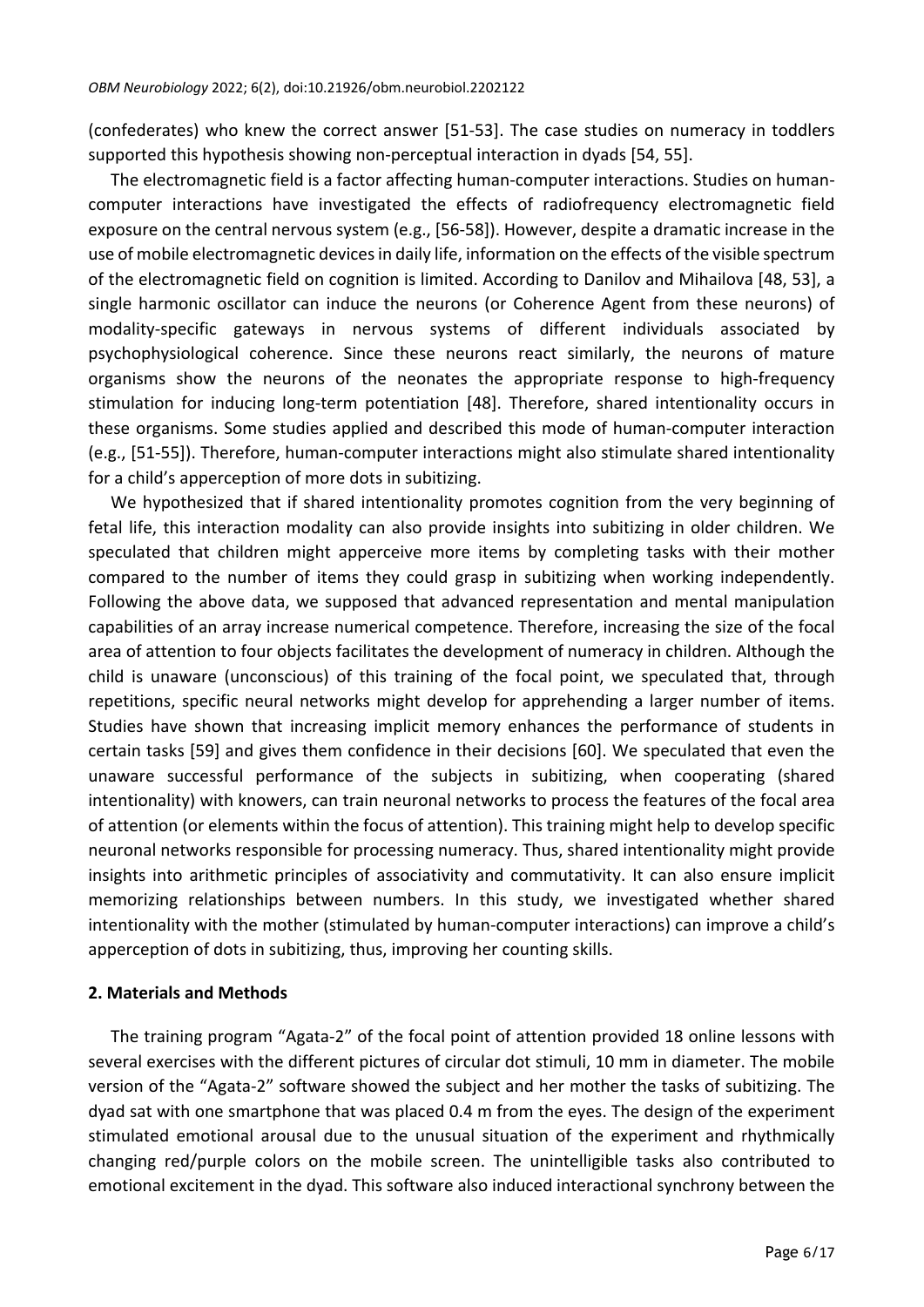(confederates) who knew the correct answer [51-53]. The case studies on numeracy in toddlers supported this hypothesis showing non-perceptual interaction in dyads [54, 55].

The electromagnetic field is a factor affecting human-computer interactions. Studies on humancomputer interactions have investigated the effects of radiofrequency electromagnetic field exposure on the central nervous system (e.g., [56-58]). However, despite a dramatic increase in the use of mobile electromagnetic devices in daily life, information on the effects of the visible spectrum of the electromagnetic field on cognition is limited. According to Danilov and Mihailova [48, 53], a single harmonic oscillator can induce the neurons (or Coherence Agent from these neurons) of modality-specific gateways in nervous systems of different individuals associated by psychophysiological coherence. Since these neurons react similarly, the neurons of mature organisms show the neurons of the neonates the appropriate response to high-frequency stimulation for inducing long-term potentiation [48]. Therefore, shared intentionality occurs in these organisms. Some studies applied and described this mode of human-computer interaction (e.g., [51-55]). Therefore, human-computer interactions might also stimulate shared intentionality for a child's apperception of more dots in subitizing.

We hypothesized that if shared intentionality promotes cognition from the very beginning of fetal life, this interaction modality can also provide insights into subitizing in older children. We speculated that children might apperceive more items by completing tasks with their mother compared to the number of items they could grasp in subitizing when working independently. Following the above data, we supposed that advanced representation and mental manipulation capabilities of an array increase numerical competence. Therefore, increasing the size of the focal area of attention to four objects facilitates the development of numeracy in children. Although the child is unaware (unconscious) of this training of the focal point, we speculated that, through repetitions, specific neural networks might develop for apprehending a larger number of items. Studies have shown that increasing implicit memory enhances the performance of students in certain tasks [59] and gives them confidence in their decisions [60]. We speculated that even the unaware successful performance of the subjects in subitizing, when cooperating (shared intentionality) with knowers, can train neuronal networks to process the features of the focal area of attention (or elements within the focus of attention). This training might help to develop specific neuronal networks responsible for processing numeracy. Thus, shared intentionality might provide insights into arithmetic principles of associativity and commutativity. It can also ensure implicit memorizing relationships between numbers. In this study, we investigated whether shared intentionality with the mother (stimulated by human-computer interactions) can improve a child's apperception of dots in subitizing, thus, improving her counting skills.

#### **2. Materials and Methods**

The training program "Agata-2" of the focal point of attention provided 18 online lessons with several exercises with the different pictures of circular dot stimuli, 10 mm in diameter. The mobile version of the "Agata-2" software showed the subject and her mother the tasks of subitizing. The dyad sat with one smartphone that was placed 0.4 m from the eyes. The design of the experiment stimulated emotional arousal due to the unusual situation of the experiment and rhythmically changing red/purple colors on the mobile screen. The unintelligible tasks also contributed to emotional excitement in the dyad. This software also induced interactional synchrony between the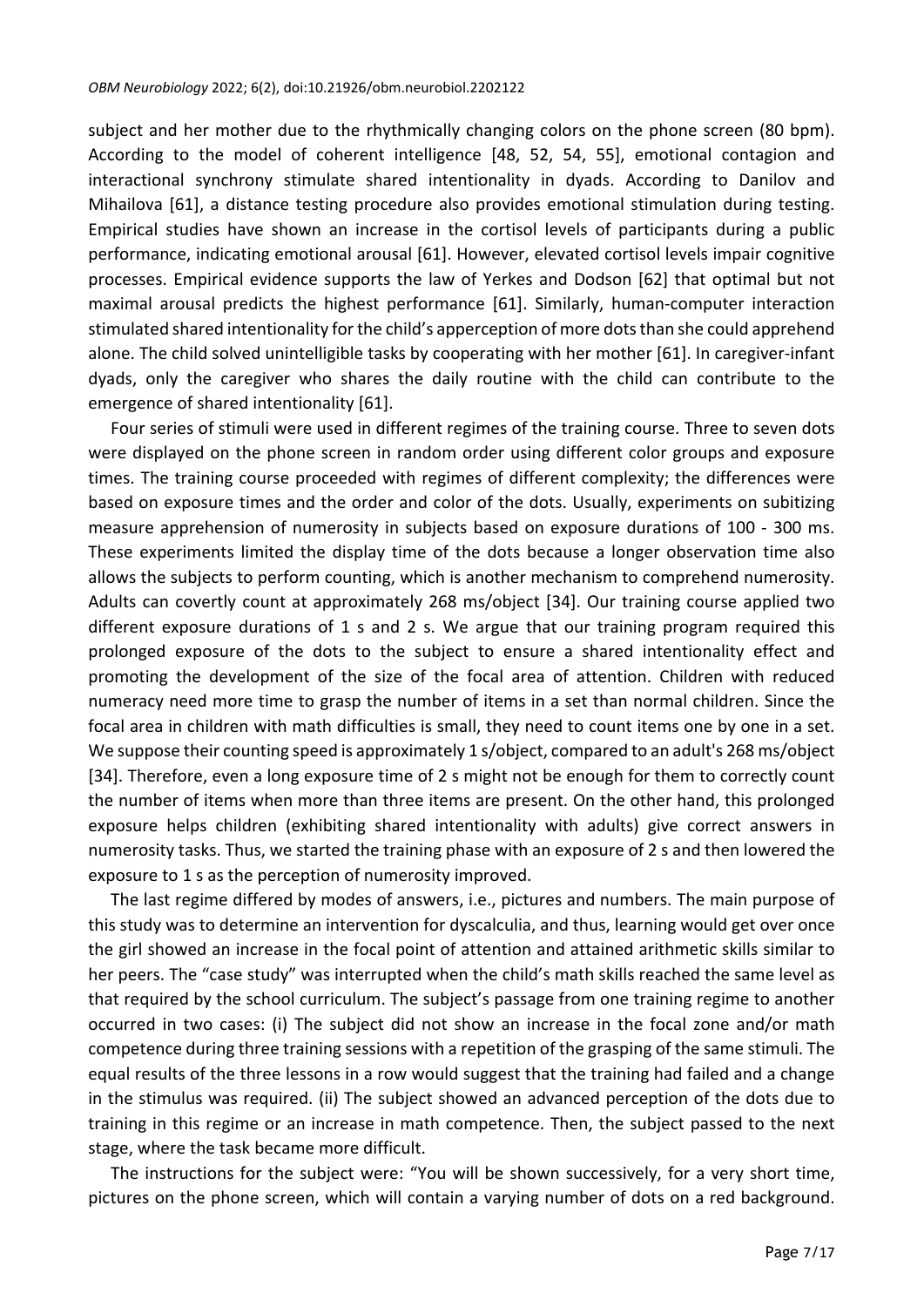subject and her mother due to the rhythmically changing colors on the phone screen (80 bpm). According to the model of coherent intelligence [48, 52, 54, 55], emotional contagion and interactional synchrony stimulate shared intentionality in dyads. According to Danilov and Mihailova [61], a distance testing procedure also provides emotional stimulation during testing. Empirical studies have shown an increase in the cortisol levels of participants during a public performance, indicating emotional arousal [61]. However, elevated cortisol levels impair cognitive processes. Empirical evidence supports the law of Yerkes and Dodson [62] that optimal but not maximal arousal predicts the highest performance [61]. Similarly, human-computer interaction stimulated shared intentionality for the child's apperception of more dots than she could apprehend alone. The child solved unintelligible tasks by cooperating with her mother [61]. In caregiver-infant dyads, only the caregiver who shares the daily routine with the child can contribute to the emergence of shared intentionality [61].

Four series of stimuli were used in different regimes of the training course. Three to seven dots were displayed on the phone screen in random order using different color groups and exposure times. The training course proceeded with regimes of different complexity; the differences were based on exposure times and the order and color of the dots. Usually, experiments on subitizing measure apprehension of numerosity in subjects based on exposure durations of 100 - 300 ms. These experiments limited the display time of the dots because a longer observation time also allows the subjects to perform counting, which is another mechanism to comprehend numerosity. Adults can covertly count at approximately 268 ms/object [34]. Our training course applied two different exposure durations of 1 s and 2 s. We argue that our training program required this prolonged exposure of the dots to the subject to ensure a shared intentionality effect and promoting the development of the size of the focal area of attention. Children with reduced numeracy need more time to grasp the number of items in a set than normal children. Since the focal area in children with math difficulties is small, they need to count items one by one in a set. We suppose their counting speed is approximately 1 s/object, compared to an adult's 268 ms/object [34]. Therefore, even a long exposure time of 2 s might not be enough for them to correctly count the number of items when more than three items are present. On the other hand, this prolonged exposure helps children (exhibiting shared intentionality with adults) give correct answers in numerosity tasks. Thus, we started the training phase with an exposure of 2 s and then lowered the exposure to 1 s as the perception of numerosity improved.

The last regime differed by modes of answers, i.e., pictures and numbers. The main purpose of this study was to determine an intervention for dyscalculia, and thus, learning would get over once the girl showed an increase in the focal point of attention and attained arithmetic skills similar to her peers. The "case study" was interrupted when the child's math skills reached the same level as that required by the school curriculum. The subject's passage from one training regime to another occurred in two cases: (i) The subject did not show an increase in the focal zone and/or math competence during three training sessions with a repetition of the grasping of the same stimuli. The equal results of the three lessons in a row would suggest that the training had failed and a change in the stimulus was required. (ii) The subject showed an advanced perception of the dots due to training in this regime or an increase in math competence. Then, the subject passed to the next stage, where the task became more difficult.

The instructions for the subject were: "You will be shown successively, for a very short time, pictures on the phone screen, which will contain a varying number of dots on a red background.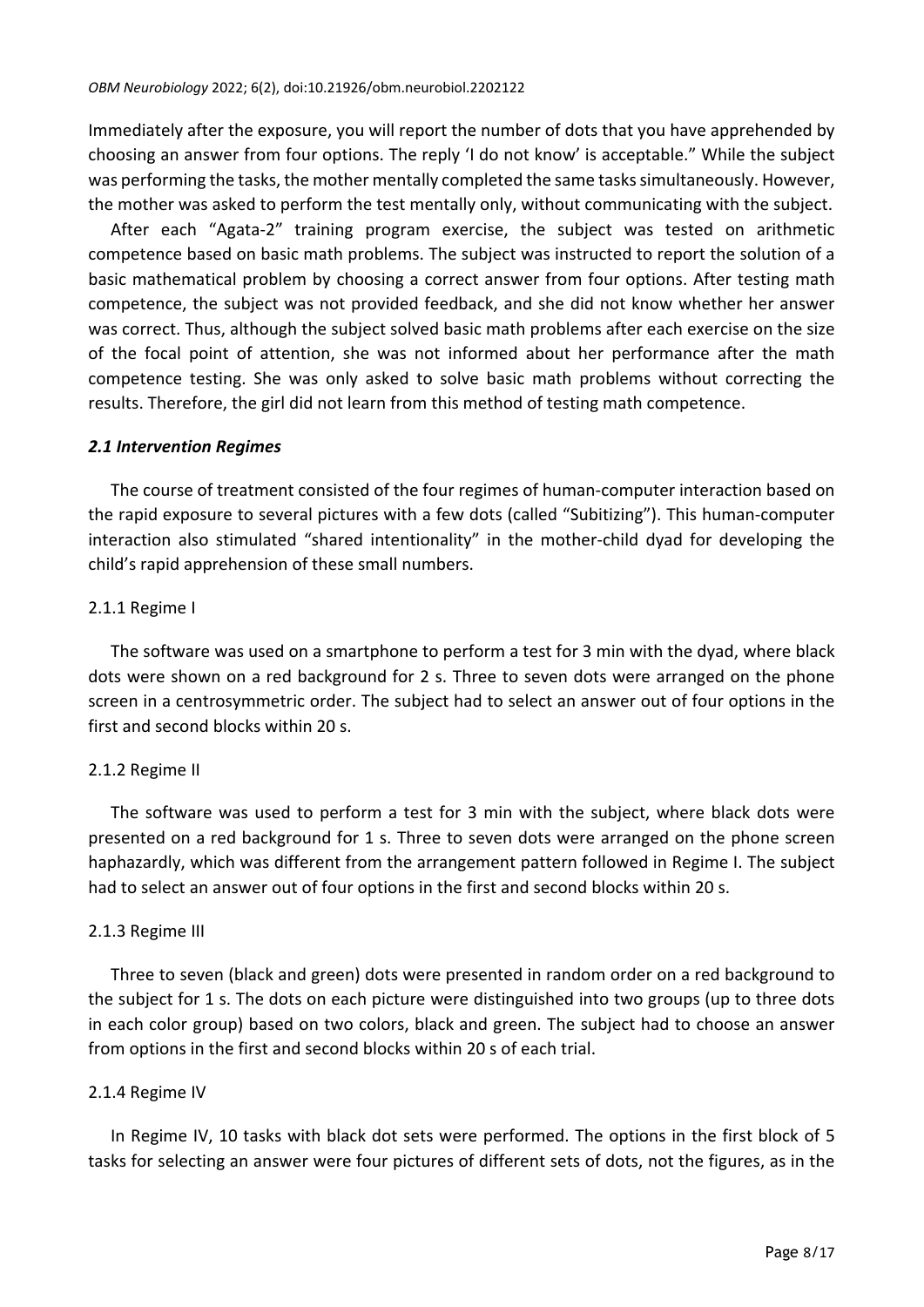Immediately after the exposure, you will report the number of dots that you have apprehended by choosing an answer from four options. The reply 'I do not know' is acceptable." While the subject was performing the tasks, the mother mentally completed the same tasks simultaneously. However, the mother was asked to perform the test mentally only, without communicating with the subject.

After each "Agata-2" training program exercise, the subject was tested on arithmetic competence based on basic math problems. The subject was instructed to report the solution of a basic mathematical problem by choosing a correct answer from four options. After testing math competence, the subject was not provided feedback, and she did not know whether her answer was correct. Thus, although the subject solved basic math problems after each exercise on the size of the focal point of attention, she was not informed about her performance after the math competence testing. She was only asked to solve basic math problems without correcting the results. Therefore, the girl did not learn from this method of testing math competence.

#### *2.1 Intervention Regimes*

The course of treatment consisted of the four regimes of human-computer interaction based on the rapid exposure to several pictures with a few dots (called "Subitizing"). This human-computer interaction also stimulated "shared intentionality" in the mother-child dyad for developing the child's rapid apprehension of these small numbers.

## 2.1.1 Regime I

The software was used on a smartphone to perform a test for 3 min with the dyad, where black dots were shown on a red background for 2 s. Three to seven dots were arranged on the phone screen in a centrosymmetric order. The subject had to select an answer out of four options in the first and second blocks within 20 s.

## 2.1.2 Regime II

The software was used to perform a test for 3 min with the subject, where black dots were presented on a red background for 1 s. Three to seven dots were arranged on the phone screen haphazardly, which was different from the arrangement pattern followed in Regime I. The subject had to select an answer out of four options in the first and second blocks within 20 s.

## 2.1.3 Regime III

Three to seven (black and green) dots were presented in random order on a red background to the subject for 1 s. The dots on each picture were distinguished into two groups (up to three dots in each color group) based on two colors, black and green. The subject had to choose an answer from options in the first and second blocks within 20 s of each trial.

## 2.1.4 Regime IV

In Regime IV, 10 tasks with black dot sets were performed. The options in the first block of 5 tasks for selecting an answer were four pictures of different sets of dots, not the figures, as in the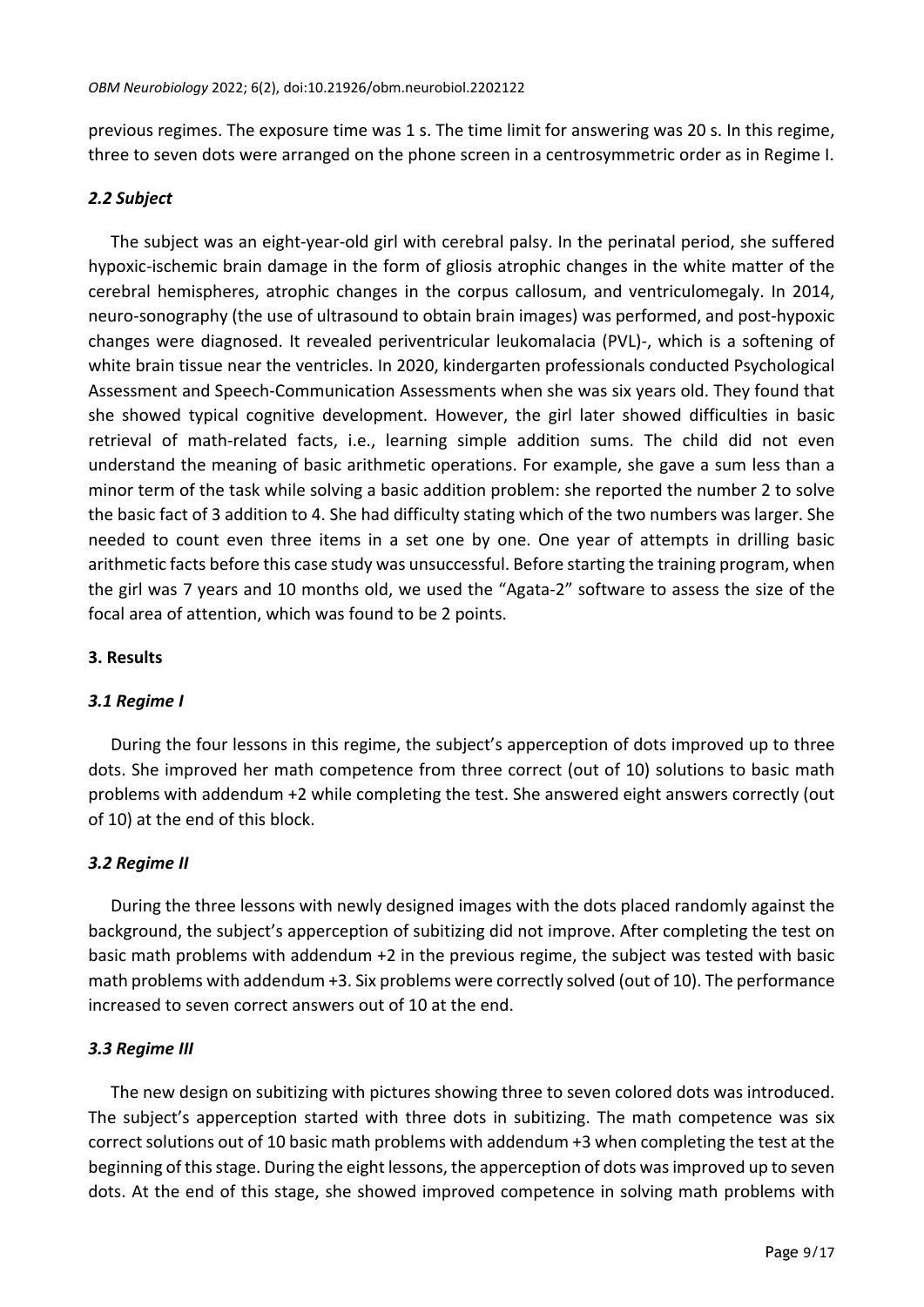previous regimes. The exposure time was 1 s. The time limit for answering was 20 s. In this regime, three to seven dots were arranged on the phone screen in a centrosymmetric order as in Regime I.

## *2.2 Subject*

The subject was an eight-year-old girl with cerebral palsy. In the perinatal period, she suffered hypoxic-ischemic brain damage in the form of gliosis atrophic changes in the white matter of the cerebral hemispheres, atrophic changes in the corpus callosum, and ventriculomegaly. In 2014, neuro-sonography (the use of ultrasound to obtain brain images) was performed, and post-hypoxic changes were diagnosed. It revealed periventricular leukomalacia (PVL)-, which is a softening of white brain tissue near the ventricles. In 2020, kindergarten professionals conducted Psychological Assessment and Speech-Communication Assessments when she was six years old. They found that she showed typical cognitive development. However, the girl later showed difficulties in basic retrieval of math-related facts, i.e., learning simple addition sums. The child did not even understand the meaning of basic arithmetic operations. For example, she gave a sum less than a minor term of the task while solving a basic addition problem: she reported the number 2 to solve the basic fact of 3 addition to 4. She had difficulty stating which of the two numbers was larger. She needed to count even three items in a set one by one. One year of attempts in drilling basic arithmetic facts before this case study was unsuccessful. Before starting the training program, when the girl was 7 years and 10 months old, we used the "Agata-2" software to assess the size of the focal area of attention, which was found to be 2 points.

## **3. Results**

## *3.1 Regime I*

During the four lessons in this regime, the subject's apperception of dots improved up to three dots. She improved her math competence from three correct (out of 10) solutions to basic math problems with addendum +2 while completing the test. She answered eight answers correctly (out of 10) at the end of this block.

# *3.2 Regime II*

During the three lessons with newly designed images with the dots placed randomly against the background, the subject's apperception of subitizing did not improve. After completing the test on basic math problems with addendum +2 in the previous regime, the subject was tested with basic math problems with addendum +3. Six problems were correctly solved (out of 10). The performance increased to seven correct answers out of 10 at the end.

# *3.3 Regime III*

The new design on subitizing with pictures showing three to seven colored dots was introduced. The subject's apperception started with three dots in subitizing. The math competence was six correct solutions out of 10 basic math problems with addendum +3 when completing the test at the beginning of thisstage. During the eight lessons, the apperception of dots wasimproved up to seven dots. At the end of this stage, she showed improved competence in solving math problems with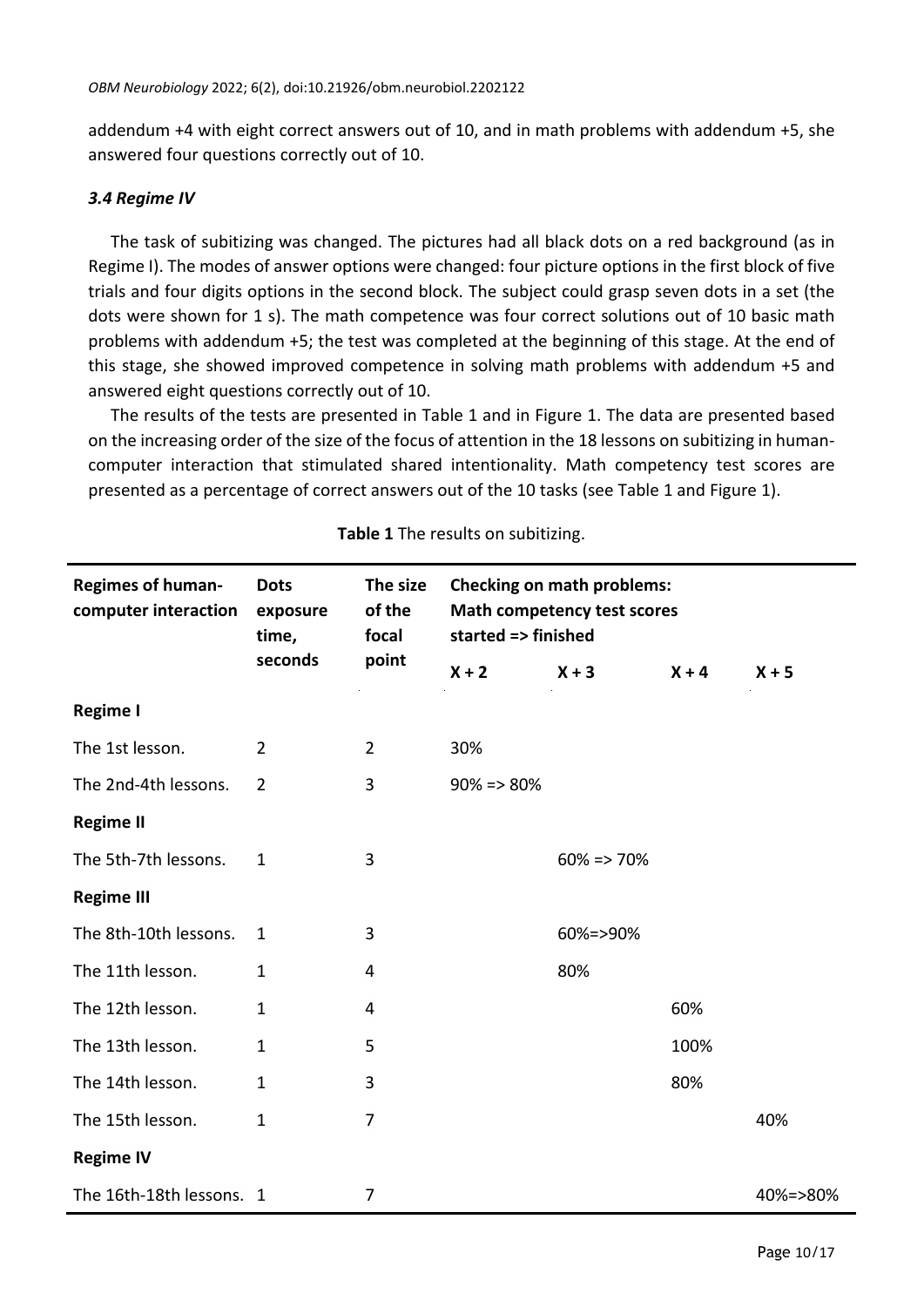addendum +4 with eight correct answers out of 10, and in math problems with addendum +5, she answered four questions correctly out of 10.

#### *3.4 Regime IV*

The task of subitizing was changed. The pictures had all black dots on a red background (as in Regime I). The modes of answer options were changed: four picture options in the first block of five trials and four digits options in the second block. The subject could grasp seven dots in a set (the dots were shown for 1 s). The math competence was four correct solutions out of 10 basic math problems with addendum +5; the test was completed at the beginning of this stage. At the end of this stage, she showed improved competence in solving math problems with addendum +5 and answered eight questions correctly out of 10.

The results of the tests are presented in Table 1 and in Figure 1. The data are presented based on the increasing order of the size of the focus of attention in the 18 lessons on subitizing in humancomputer interaction that stimulated shared intentionality. Math competency test scores are presented as a percentage of correct answers out of the 10 tasks (see Table 1 and Figure 1).

| <b>Regimes of human-</b><br>computer interaction | <b>Dots</b><br>exposure<br>time,<br>seconds | The size<br>of the<br>focal<br>point | <b>Checking on math problems:</b><br>Math competency test scores<br>started => finished |                 |         |          |
|--------------------------------------------------|---------------------------------------------|--------------------------------------|-----------------------------------------------------------------------------------------|-----------------|---------|----------|
|                                                  |                                             |                                      | $X + 2$                                                                                 | $X + 3$         | $X + 4$ | $X + 5$  |
| Regime I                                         |                                             |                                      |                                                                                         |                 |         |          |
| The 1st lesson.                                  | $\overline{2}$                              | $\overline{2}$                       | 30%                                                                                     |                 |         |          |
| The 2nd-4th lessons.                             | $\overline{2}$                              | 3                                    | $90\% = 80\%$                                                                           |                 |         |          |
| <b>Regime II</b>                                 |                                             |                                      |                                                                                         |                 |         |          |
| The 5th-7th lessons.                             | 1                                           | 3                                    |                                                                                         | $60\% = > 70\%$ |         |          |
| <b>Regime III</b>                                |                                             |                                      |                                                                                         |                 |         |          |
| The 8th-10th lessons.                            | $\mathbf{1}$                                | 3                                    |                                                                                         | 60%=>90%        |         |          |
| The 11th lesson.                                 | 1                                           | 4                                    |                                                                                         | 80%             |         |          |
| The 12th lesson.                                 | $\mathbf{1}$                                | 4                                    |                                                                                         |                 | 60%     |          |
| The 13th lesson.                                 | $\mathbf{1}$                                | 5                                    |                                                                                         |                 | 100%    |          |
| The 14th lesson.                                 | $\mathbf{1}$                                | 3                                    |                                                                                         |                 | 80%     |          |
| The 15th lesson.                                 | $\mathbf{1}$                                | 7                                    |                                                                                         |                 |         | 40%      |
| <b>Regime IV</b>                                 |                                             |                                      |                                                                                         |                 |         |          |
| The 16th-18th lessons. 1                         |                                             | 7                                    |                                                                                         |                 |         | 40%=>80% |

**Table 1** The results on subitizing.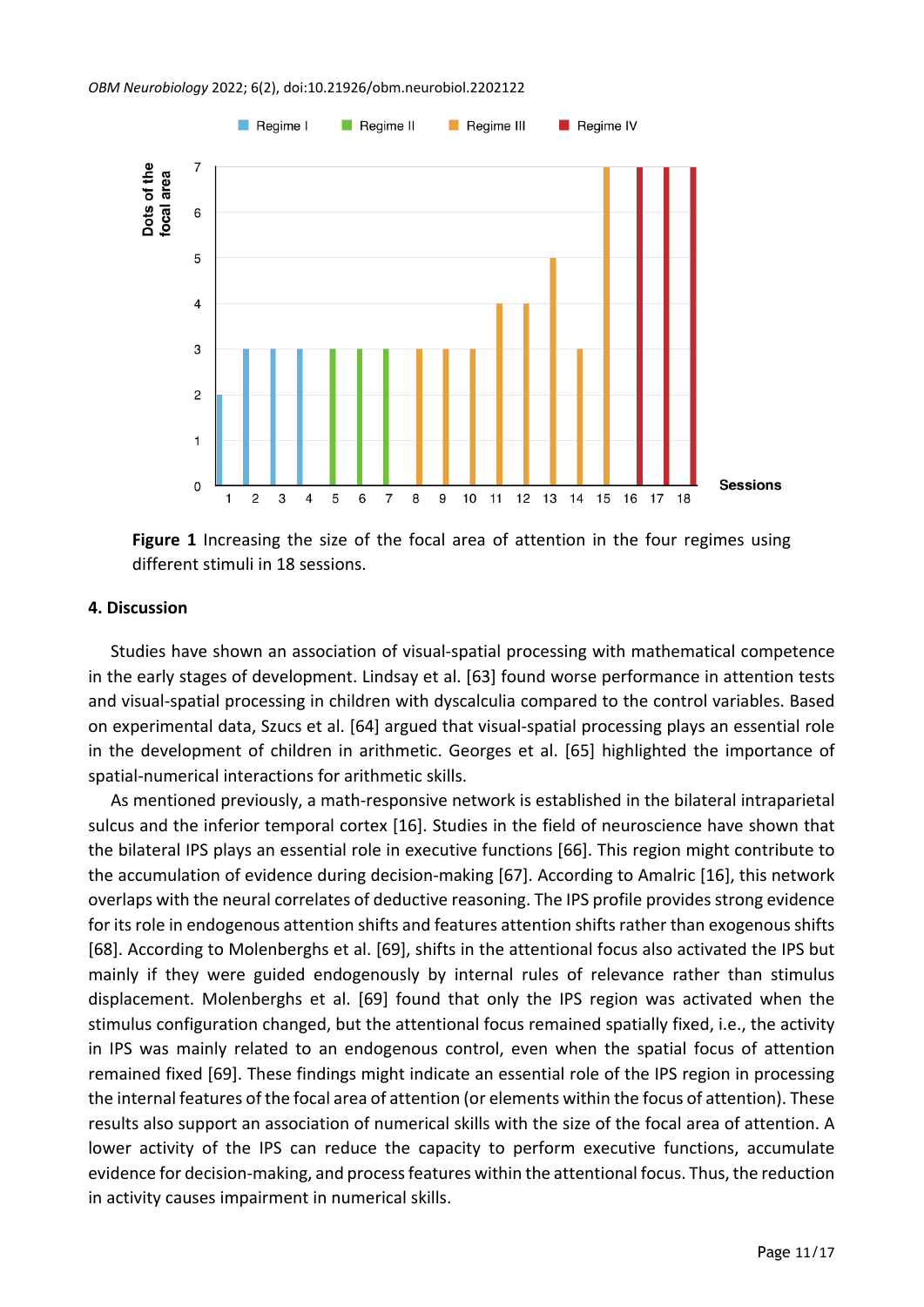

**Figure 1** Increasing the size of the focal area of attention in the four regimes using different stimuli in 18 sessions.

#### **4. Discussion**

Studies have shown an association of visual-spatial processing with mathematical competence in the early stages of development. Lindsay et al. [63] found worse performance in attention tests and visual-spatial processing in children with dyscalculia compared to the control variables. Based on experimental data, Szucs et al. [64] argued that visual-spatial processing plays an essential role in the development of children in arithmetic. Georges et al. [65] highlighted the importance of spatial-numerical interactions for arithmetic skills.

As mentioned previously, a math-responsive network is established in the bilateral intraparietal sulcus and the inferior temporal cortex [16]. Studies in the field of neuroscience have shown that the bilateral IPS plays an essential role in executive functions [66]. This region might contribute to the accumulation of evidence during decision-making [67]. According to Amalric [16], this network overlaps with the neural correlates of deductive reasoning. The IPS profile provides strong evidence for its role in endogenous attention shifts and features attention shifts rather than exogenous shifts [68]. According to Molenberghs et al. [69], shifts in the attentional focus also activated the IPS but mainly if they were guided endogenously by internal rules of relevance rather than stimulus displacement. Molenberghs et al. [69] found that only the IPS region was activated when the stimulus configuration changed, but the attentional focus remained spatially fixed, i.e., the activity in IPS was mainly related to an endogenous control, even when the spatial focus of attention remained fixed [69]. These findings might indicate an essential role of the IPS region in processing the internal features of the focal area of attention (or elements within the focus of attention). These results also support an association of numerical skills with the size of the focal area of attention. A lower activity of the IPS can reduce the capacity to perform executive functions, accumulate evidence for decision-making, and process features within the attentional focus. Thus, the reduction in activity causes impairment in numerical skills.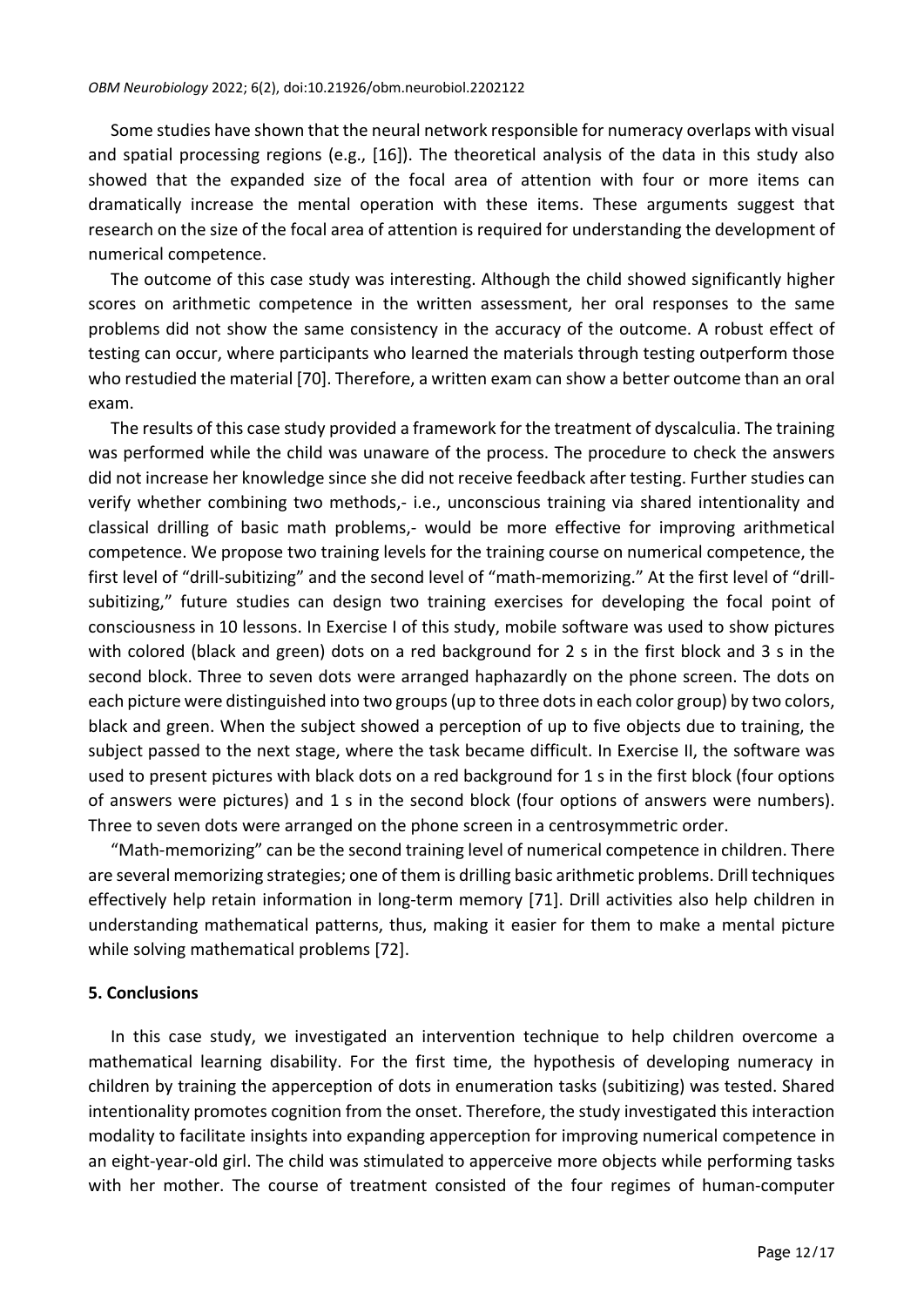Some studies have shown that the neural network responsible for numeracy overlaps with visual and spatial processing regions (e.g., [16]). The theoretical analysis of the data in this study also showed that the expanded size of the focal area of attention with four or more items can dramatically increase the mental operation with these items. These arguments suggest that research on the size of the focal area of attention is required for understanding the development of numerical competence.

The outcome of this case study was interesting. Although the child showed significantly higher scores on arithmetic competence in the written assessment, her oral responses to the same problems did not show the same consistency in the accuracy of the outcome. A robust effect of testing can occur, where participants who learned the materials through testing outperform those who restudied the material [70]. Therefore, a written exam can show a better outcome than an oral exam.

The results of this case study provided a framework for the treatment of dyscalculia. The training was performed while the child was unaware of the process. The procedure to check the answers did not increase her knowledge since she did not receive feedback after testing. Further studies can verify whether combining two methods,- i.e., unconscious training via shared intentionality and classical drilling of basic math problems,- would be more effective for improving arithmetical competence. We propose two training levels for the training course on numerical competence, the first level of "drill-subitizing" and the second level of "math-memorizing." At the first level of "drillsubitizing," future studies can design two training exercises for developing the focal point of consciousness in 10 lessons. In Exercise I of this study, mobile software was used to show pictures with colored (black and green) dots on a red background for 2 s in the first block and 3 s in the second block. Three to seven dots were arranged haphazardly on the phone screen. The dots on each picture were distinguished into two groups(up to three dotsin each color group) by two colors, black and green. When the subject showed a perception of up to five objects due to training, the subject passed to the next stage, where the task became difficult. In Exercise II, the software was used to present pictures with black dots on a red background for 1 s in the first block (four options of answers were pictures) and 1 s in the second block (four options of answers were numbers). Three to seven dots were arranged on the phone screen in a centrosymmetric order.

"Math-memorizing" can be the second training level of numerical competence in children. There are several memorizing strategies; one of them is drilling basic arithmetic problems. Drill techniques effectively help retain information in long-term memory [71]. Drill activities also help children in understanding mathematical patterns, thus, making it easier for them to make a mental picture while solving mathematical problems [72].

#### **5. Conclusions**

In this case study, we investigated an intervention technique to help children overcome a mathematical learning disability. For the first time, the hypothesis of developing numeracy in children by training the apperception of dots in enumeration tasks (subitizing) was tested. Shared intentionality promotes cognition from the onset. Therefore, the study investigated this interaction modality to facilitate insights into expanding apperception for improving numerical competence in an eight-year-old girl. The child was stimulated to apperceive more objects while performing tasks with her mother. The course of treatment consisted of the four regimes of human-computer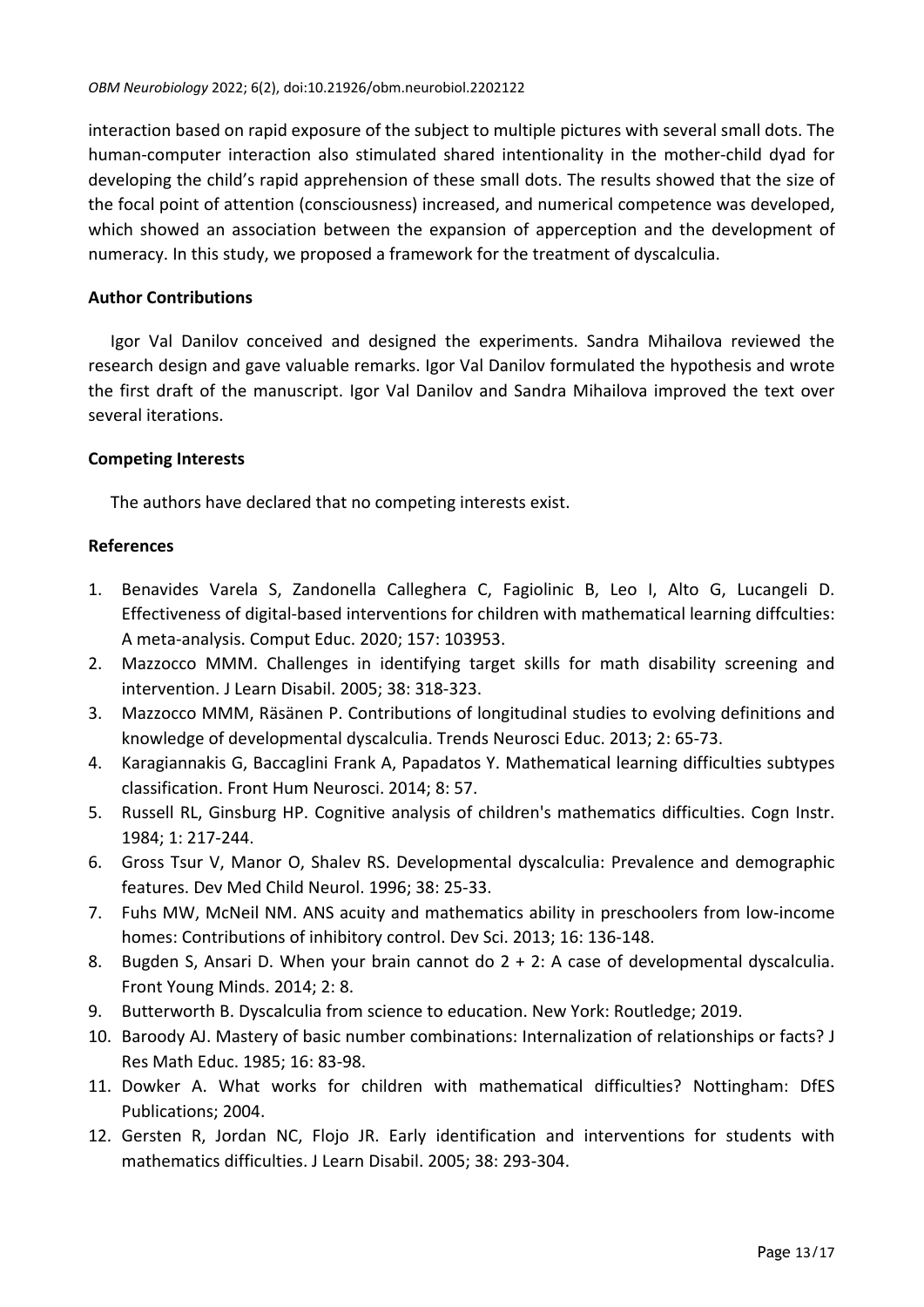interaction based on rapid exposure of the subject to multiple pictures with several small dots. The human-computer interaction also stimulated shared intentionality in the mother-child dyad for developing the child's rapid apprehension of these small dots. The results showed that the size of the focal point of attention (consciousness) increased, and numerical competence was developed, which showed an association between the expansion of apperception and the development of numeracy. In this study, we proposed a framework for the treatment of dyscalculia.

## **Author Contributions**

Igor Val Danilov conceived and designed the experiments. Sandra Mihailova reviewed the research design and gave valuable remarks. Igor Val Danilov formulated the hypothesis and wrote the first draft of the manuscript. Igor Val Danilov and Sandra Mihailova improved the text over several iterations.

## **Competing Interests**

The authors have declared that no competing interests exist.

## **References**

- 1. Benavides Varela S, Zandonella Calleghera C, Fagiolinic B, Leo I, Alto G, Lucangeli D. Effectiveness of digital-based interventions for children with mathematical learning diffculties: A meta-analysis. Comput Educ. 2020; 157: 103953.
- 2. Mazzocco MMM. Challenges in identifying target skills for math disability screening and intervention. J Learn Disabil. 2005; 38: 318-323.
- 3. Mazzocco MMM, Räsänen P. Contributions of longitudinal studies to evolving definitions and knowledge of developmental dyscalculia. Trends Neurosci Educ. 2013; 2: 65-73.
- 4. Karagiannakis G, Baccaglini Frank A, Papadatos Y. Mathematical learning difficulties subtypes classification. Front Hum Neurosci. 2014; 8: 57.
- 5. Russell RL, Ginsburg HP. Cognitive analysis of children's mathematics difficulties. Cogn Instr. 1984; 1: 217-244.
- 6. Gross Tsur V, Manor O, Shalev RS. Developmental dyscalculia: Prevalence and demographic features. Dev Med Child Neurol. 1996; 38: 25-33.
- 7. Fuhs MW, McNeil NM. ANS acuity and mathematics ability in preschoolers from low-income homes: Contributions of inhibitory control. Dev Sci. 2013; 16: 136-148.
- 8. Bugden S, Ansari D. When your brain cannot do 2 + 2: A case of developmental dyscalculia. Front Young Minds. 2014; 2: 8.
- 9. Butterworth B. Dyscalculia from science to education. New York: Routledge; 2019.
- 10. Baroody AJ. Mastery of basic number combinations: Internalization of relationships or facts? J Res Math Educ. 1985; 16: 83-98.
- 11. Dowker A. What works for children with mathematical difficulties? Nottingham: DfES Publications; 2004.
- 12. Gersten R, Jordan NC, Flojo JR. Early identification and interventions for students with mathematics difficulties. J Learn Disabil. 2005; 38: 293-304.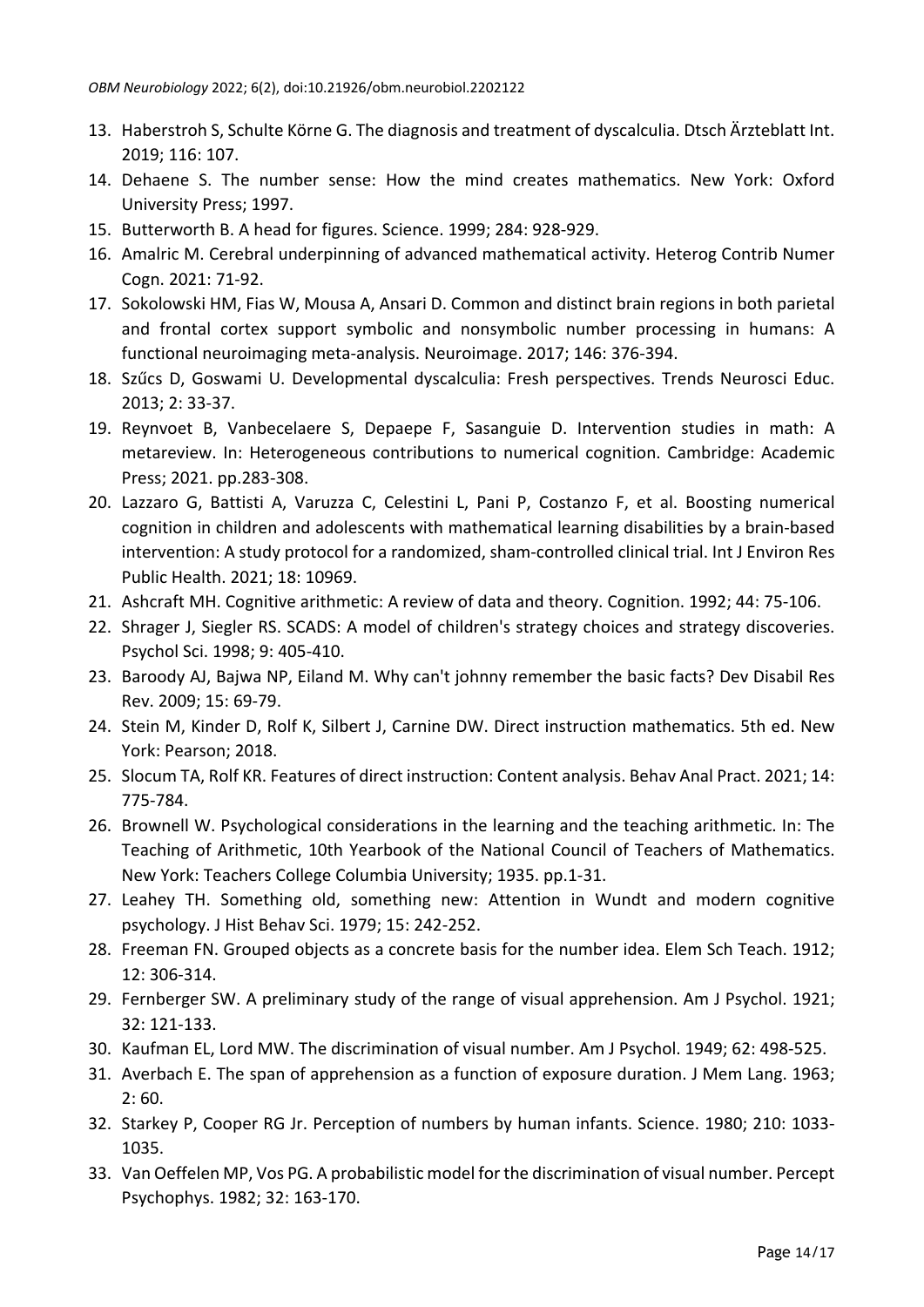- 13. Haberstroh S, Schulte Körne G. The diagnosis and treatment of dyscalculia. Dtsch Ärzteblatt Int. 2019; 116: 107.
- 14. Dehaene S. The number sense: How the mind creates mathematics. New York: Oxford University Press; 1997.
- 15. Butterworth B. A head for figures. Science. 1999; 284: 928-929.
- 16. Amalric M. Cerebral underpinning of advanced mathematical activity. Heterog Contrib Numer Cogn. 2021: 71-92.
- 17. Sokolowski HM, Fias W, Mousa A, Ansari D. Common and distinct brain regions in both parietal and frontal cortex support symbolic and nonsymbolic number processing in humans: A functional neuroimaging meta-analysis. Neuroimage. 2017; 146: 376-394.
- 18. Szűcs D, Goswami U. Developmental dyscalculia: Fresh perspectives. Trends Neurosci Educ. 2013; 2: 33-37.
- 19. Reynvoet B, Vanbecelaere S, Depaepe F, Sasanguie D. Intervention studies in math: A metareview. In: Heterogeneous contributions to numerical cognition. Cambridge: Academic Press; 2021. pp.283-308.
- 20. Lazzaro G, Battisti A, Varuzza C, Celestini L, Pani P, Costanzo F, et al. Boosting numerical cognition in children and adolescents with mathematical learning disabilities by a brain-based intervention: A study protocol for a randomized, sham-controlled clinical trial. Int J Environ Res Public Health. 2021; 18: 10969.
- 21. Ashcraft MH. Cognitive arithmetic: A review of data and theory. Cognition. 1992; 44: 75-106.
- 22. Shrager J, Siegler RS. SCADS: A model of children's strategy choices and strategy discoveries. Psychol Sci. 1998; 9: 405-410.
- 23. Baroody AJ, Bajwa NP, Eiland M. Why can't johnny remember the basic facts? Dev Disabil Res Rev. 2009; 15: 69-79.
- 24. Stein M, Kinder D, Rolf K, Silbert J, Carnine DW. Direct instruction mathematics. 5th ed. New York: Pearson; 2018.
- 25. Slocum TA, Rolf KR. Features of direct instruction: Content analysis. Behav Anal Pract. 2021; 14: 775-784.
- 26. Brownell W. Psychological considerations in the learning and the teaching arithmetic. In: The Teaching of Arithmetic, 10th Yearbook of the National Council of Teachers of Mathematics. New York: Teachers College Columbia University; 1935. pp.1-31.
- 27. Leahey TH. Something old, something new: Attention in Wundt and modern cognitive psychology. J Hist Behav Sci. 1979; 15: 242-252.
- 28. Freeman FN. Grouped objects as a concrete basis for the number idea. Elem Sch Teach. 1912; 12: 306-314.
- 29. Fernberger SW. A preliminary study of the range of visual apprehension. Am J Psychol. 1921; 32: 121-133.
- 30. Kaufman EL, Lord MW. The discrimination of visual number. Am J Psychol. 1949; 62: 498-525.
- 31. Averbach E. The span of apprehension as a function of exposure duration. J Mem Lang. 1963; 2: 60.
- 32. Starkey P, Cooper RG Jr. Perception of numbers by human infants. Science. 1980; 210: 1033- 1035.
- 33. Van Oeffelen MP, Vos PG. A probabilistic model for the discrimination of visual number. Percept Psychophys. 1982; 32: 163-170.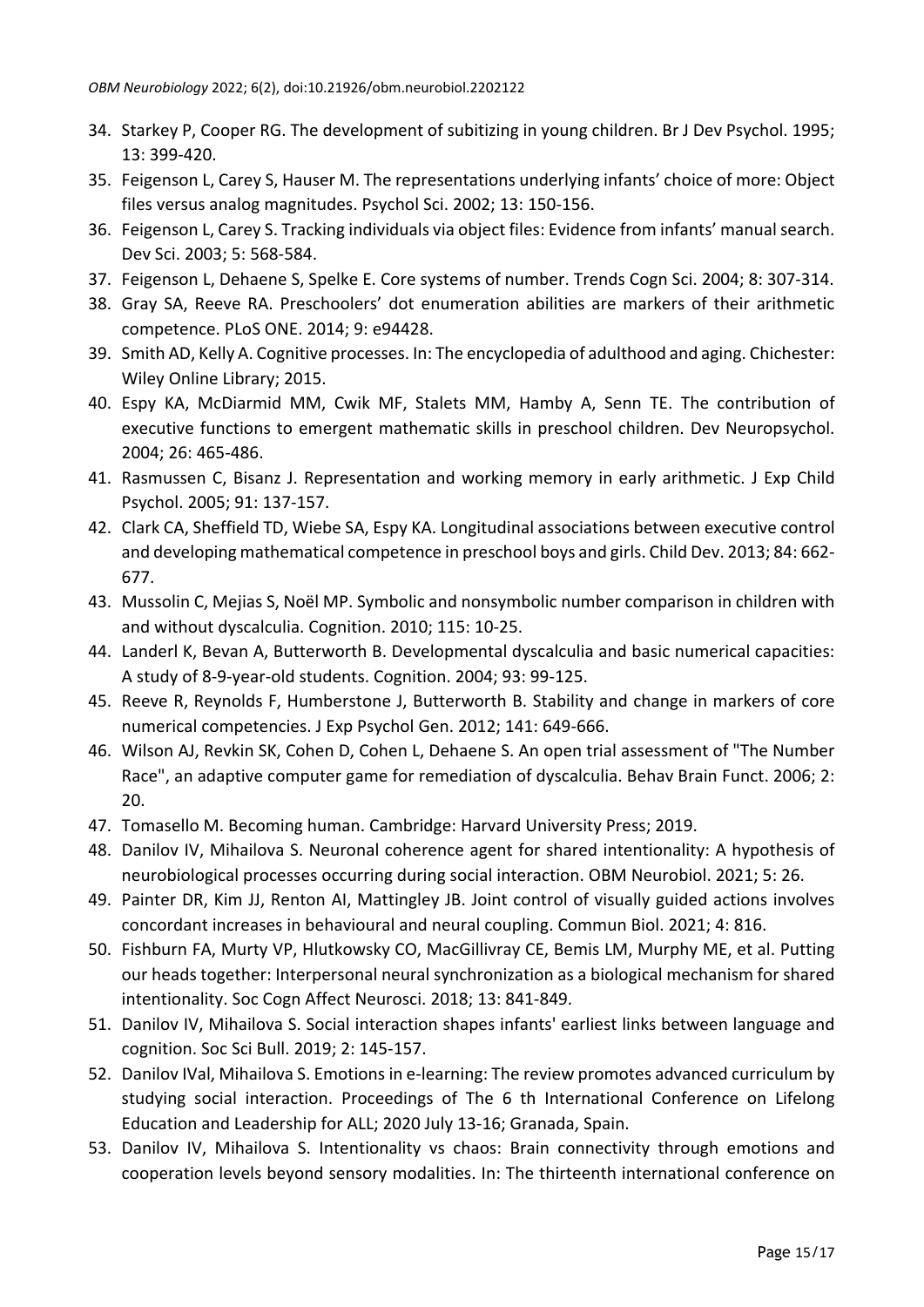- 34. Starkey P, Cooper RG. The development of subitizing in young children. Br J Dev Psychol. 1995; 13: 399-420.
- 35. Feigenson L, Carey S, Hauser M. The representations underlying infants' choice of more: Object files versus analog magnitudes. Psychol Sci. 2002; 13: 150-156.
- 36. Feigenson L, Carey S. Tracking individuals via object files: Evidence from infants' manualsearch. Dev Sci. 2003; 5: 568-584.
- 37. Feigenson L, Dehaene S, Spelke E. Core systems of number. Trends Cogn Sci. 2004; 8: 307-314.
- 38. Gray SA, Reeve RA. Preschoolers' dot enumeration abilities are markers of their arithmetic competence. PLoS ONE. 2014; 9: e94428.
- 39. Smith AD, Kelly A. Cognitive processes. In: The encyclopedia of adulthood and aging. Chichester: Wiley Online Library; 2015.
- 40. Espy KA, McDiarmid MM, Cwik MF, Stalets MM, Hamby A, Senn TE. The contribution of executive functions to emergent mathematic skills in preschool children. Dev Neuropsychol. 2004; 26: 465-486.
- 41. Rasmussen C, Bisanz J. Representation and working memory in early arithmetic. J Exp Child Psychol. 2005; 91: 137-157.
- 42. Clark CA, Sheffield TD, Wiebe SA, Espy KA. Longitudinal associations between executive control and developing mathematical competence in preschool boys and girls. Child Dev. 2013; 84: 662- 677.
- 43. Mussolin C, Mejias S, Noël MP. Symbolic and nonsymbolic number comparison in children with and without dyscalculia. Cognition. 2010; 115: 10-25.
- 44. Landerl K, Bevan A, Butterworth B. Developmental dyscalculia and basic numerical capacities: A study of 8-9-year-old students. Cognition. 2004; 93: 99-125.
- 45. Reeve R, Reynolds F, Humberstone J, Butterworth B. Stability and change in markers of core numerical competencies. J Exp Psychol Gen. 2012; 141: 649-666.
- 46. Wilson AJ, Revkin SK, Cohen D, Cohen L, Dehaene S. An open trial assessment of "The Number Race", an adaptive computer game for remediation of dyscalculia. Behav Brain Funct. 2006; 2: 20.
- 47. Tomasello M. Becoming human. Cambridge: Harvard University Press; 2019.
- 48. Danilov IV, Mihailova S. Neuronal coherence agent for shared intentionality: A hypothesis of neurobiological processes occurring during social interaction. OBM Neurobiol. 2021; 5: 26.
- 49. Painter DR, Kim JJ, Renton AI, Mattingley JB. Joint control of visually guided actions involves concordant increases in behavioural and neural coupling. Commun Biol. 2021; 4: 816.
- 50. Fishburn FA, Murty VP, Hlutkowsky CO, MacGillivray CE, Bemis LM, Murphy ME, et al. Putting our heads together: Interpersonal neural synchronization as a biological mechanism for shared intentionality. Soc Cogn Affect Neurosci. 2018; 13: 841-849.
- 51. Danilov IV, Mihailova S. Social interaction shapes infants' earliest links between language and cognition. Soc Sci Bull. 2019; 2: 145-157.
- 52. Danilov IVal, Mihailova S. Emotions in e-learning: The review promotes advanced curriculum by studying social interaction. Proceedings of The 6 th International Conference on Lifelong Education and Leadership for ALL; 2020 July 13-16; Granada, Spain.
- 53. Danilov IV, Mihailova S. Intentionality vs chaos: Brain connectivity through emotions and cooperation levels beyond sensory modalities. In: The thirteenth international conference on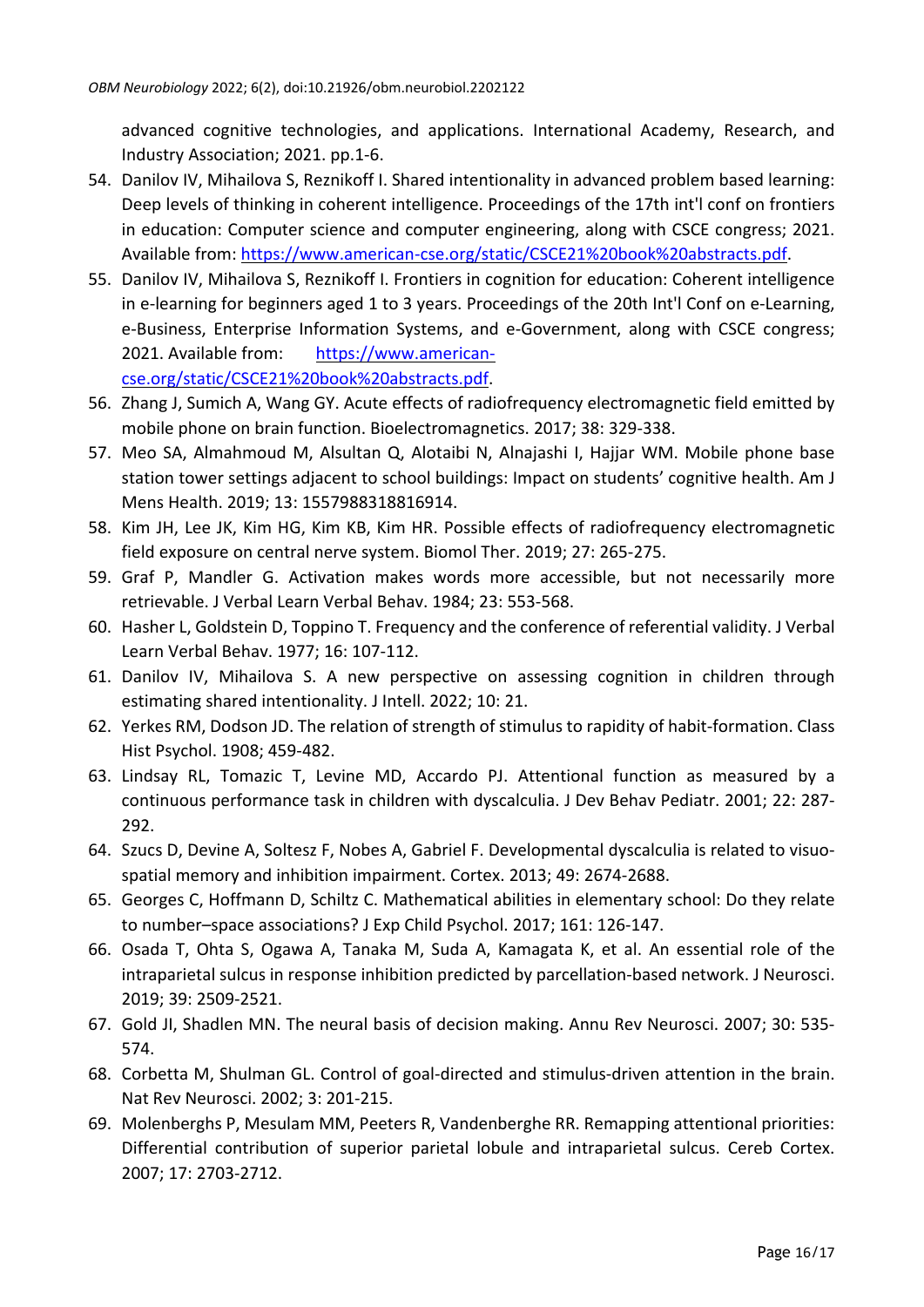advanced cognitive technologies, and applications. International Academy, Research, and Industry Association; 2021. pp.1-6.

- 54. Danilov IV, Mihailova S, Reznikoff I. Shared intentionality in advanced problem based learning: Deep levels of thinking in coherent intelligence. Proceedings of the 17th int'l conf on frontiers in education: Computer science and computer engineering, along with CSCE congress; 2021. Available from: [https://www.american-cse.org/static/CSCE21%20book%20abstracts.pdf.](https://www.american-cse.org/static/CSCE21%20book%20abstracts.pdf)
- 55. Danilov IV, Mihailova S, Reznikoff I. Frontiers in cognition for education: Coherent intelligence in e-learning for beginners aged 1 to 3 years. Proceedings of the 20th Int'l Conf on e-Learning, e-Business, Enterprise Information Systems, and e-Government, along with CSCE congress; 2021. Available from: [https://www.american](https://www.american-cse.org/static/CSCE21%20book%20abstracts.pdf)[cse.org/static/CSCE21%20book%20abstracts.pdf.](https://www.american-cse.org/static/CSCE21%20book%20abstracts.pdf)
- 56. Zhang J, Sumich A, Wang GY. Acute effects of radiofrequency electromagnetic field emitted by mobile phone on brain function. Bioelectromagnetics. 2017; 38: 329-338.
- 57. Meo SA, Almahmoud M, Alsultan Q, Alotaibi N, Alnajashi I, Hajjar WM. Mobile phone base station tower settings adjacent to school buildings: Impact on students' cognitive health. Am J Mens Health. 2019; 13: 1557988318816914.
- 58. Kim JH, Lee JK, Kim HG, Kim KB, Kim HR. Possible effects of radiofrequency electromagnetic field exposure on central nerve system. Biomol Ther. 2019; 27: 265-275.
- 59. Graf P, Mandler G. Activation makes words more accessible, but not necessarily more retrievable. J Verbal Learn Verbal Behav. 1984; 23: 553-568.
- 60. Hasher L, Goldstein D, Toppino T. Frequency and the conference of referential validity. J Verbal Learn Verbal Behav. 1977; 16: 107-112.
- 61. Danilov IV, Mihailova S. A new perspective on assessing cognition in children through estimating shared intentionality. J Intell. 2022; 10: 21.
- 62. Yerkes RM, Dodson JD. The relation of strength of stimulus to rapidity of habit-formation. Class Hist Psychol. 1908; 459-482.
- 63. Lindsay RL, Tomazic T, Levine MD, Accardo PJ. Attentional function as measured by a continuous performance task in children with dyscalculia. J Dev Behav Pediatr. 2001; 22: 287- 292.
- 64. Szucs D, Devine A, Soltesz F, Nobes A, Gabriel F. Developmental dyscalculia is related to visuospatial memory and inhibition impairment. Cortex. 2013; 49: 2674-2688.
- 65. Georges C, Hoffmann D, Schiltz C. Mathematical abilities in elementary school: Do they relate to number–space associations? J Exp Child Psychol. 2017; 161: 126-147.
- 66. Osada T, Ohta S, Ogawa A, Tanaka M, Suda A, Kamagata K, et al. An essential role of the intraparietal sulcus in response inhibition predicted by parcellation-based network. J Neurosci. 2019; 39: 2509-2521.
- 67. Gold JI, Shadlen MN. The neural basis of decision making. Annu Rev Neurosci. 2007; 30: 535- 574.
- 68. Corbetta M, Shulman GL. Control of goal-directed and stimulus-driven attention in the brain. Nat Rev Neurosci. 2002; 3: 201-215.
- 69. Molenberghs P, Mesulam MM, Peeters R, Vandenberghe RR. Remapping attentional priorities: Differential contribution of superior parietal lobule and intraparietal sulcus. Cereb Cortex. 2007; 17: 2703-2712.